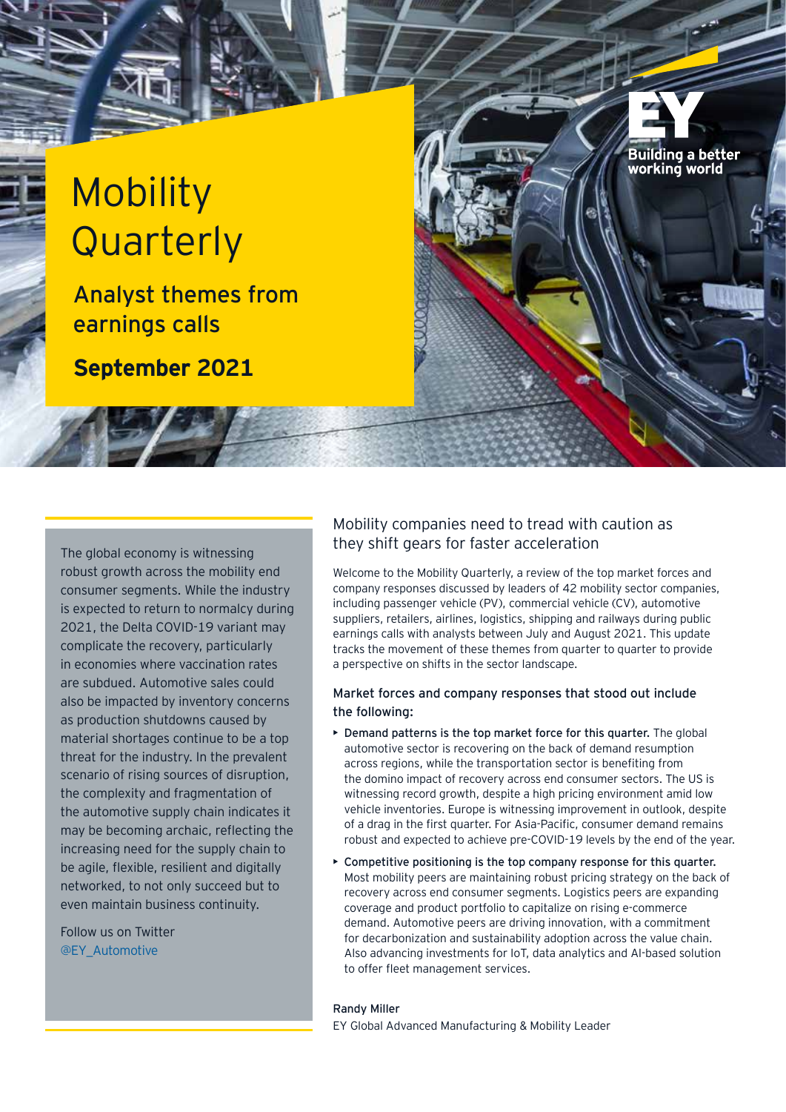# Mobility **Quarterly**

Analyst themes from earnings calls

**September 2021**

robust growth across the mobility end consumer segments. While the industry is expected to return to normalcy during 2021, the Delta COVID-19 variant may complicate the recovery, particularly in economies where vaccination rates are subdued. Automotive sales could also be impacted by inventory concerns as production shutdowns caused by material shortages continue to be a top threat for the industry. In the prevalent scenario of rising sources of disruption, the complexity and fragmentation of the automotive supply chain indicates it may be becoming archaic, reflecting the increasing need for the supply chain to be agile, flexible, resilient and digitally networked, to not only succeed but to even maintain business continuity.

Follow us on Twitter @EY\_Automotive

### Mobility companies need to tread with caution as they shift gears for faster acceleration The global economy is witnessing

Welcome to the Mobility Quarterly, a review of the top market forces and company responses discussed by leaders of 42 mobility sector companies, including passenger vehicle (PV), commercial vehicle (CV), automotive suppliers, retailers, airlines, logistics, shipping and railways during public earnings calls with analysts between July and August 2021. This update tracks the movement of these themes from quarter to quarter to provide a perspective on shifts in the sector landscape.

**Building a better** working world

#### Market forces and company responses that stood out include the following:

- Demand patterns is the top market force for this quarter. The global automotive sector is recovering on the back of demand resumption across regions, while the transportation sector is benefiting from the domino impact of recovery across end consumer sectors. The US is witnessing record growth, despite a high pricing environment amid low vehicle inventories. Europe is witnessing improvement in outlook, despite of a drag in the first quarter. For Asia-Pacific, consumer demand remains robust and expected to achieve pre-COVID-19 levels by the end of the year.
- Competitive positioning is the top company response for this quarter. Most mobility peers are maintaining robust pricing strategy on the back of recovery across end consumer segments. Logistics peers are expanding coverage and product portfolio to capitalize on rising e-commerce demand. Automotive peers are driving innovation, with a commitment for decarbonization and sustainability adoption across the value chain. Also advancing investments for IoT, data analytics and AI-based solution to offer fleet management services.

#### Randy Miller

EY Global Advanced Manufacturing & Mobility Leader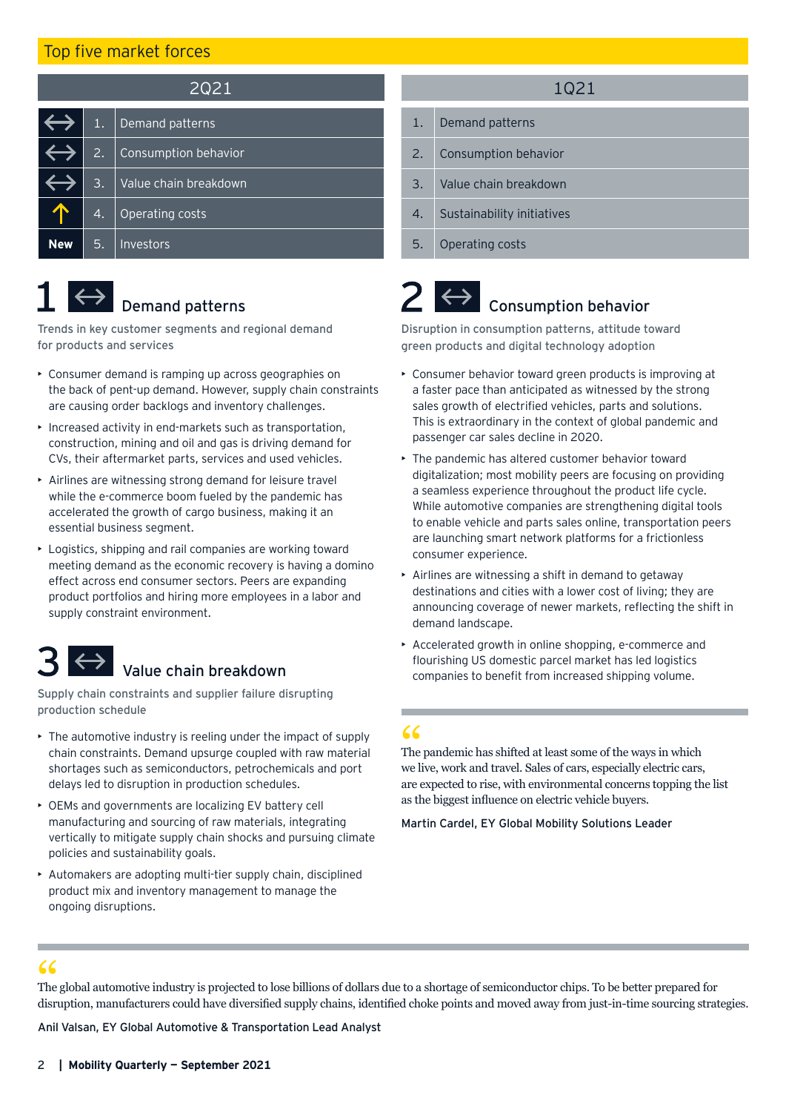#### Top five market forces

| 2Q21 |    |                       |  |
|------|----|-----------------------|--|
|      | 1. | Demand patterns       |  |
|      | 2. | Consumption behavior  |  |
|      | 3. | Value chain breakdown |  |
|      | 4. | Operating costs       |  |
| New  | 5. | Investors             |  |

# $\leftrightarrow$  Demand patterns

Trends in key customer segments and regional demand for products and services

- Consumer demand is ramping up across geographies on the back of pent-up demand. However, supply chain constraints are causing order backlogs and inventory challenges.
- Increased activity in end-markets such as transportation, construction, mining and oil and gas is driving demand for CVs, their aftermarket parts, services and used vehicles.
- Airlines are witnessing strong demand for leisure travel while the e-commerce boom fueled by the pandemic has accelerated the growth of cargo business, making it an essential business segment.
- Logistics, shipping and rail companies are working toward meeting demand as the economic recovery is having a domino effect across end consumer sectors. Peers are expanding product portfolios and hiring more employees in a labor and supply constraint environment.

Supply chain constraints and supplier failure disrupting production schedule

- The automotive industry is reeling under the impact of supply chain constraints. Demand upsurge coupled with raw material shortages such as semiconductors, petrochemicals and port delays led to disruption in production schedules.
- OEMs and governments are localizing EV battery cell manufacturing and sourcing of raw materials, integrating vertically to mitigate supply chain shocks and pursuing climate policies and sustainability goals.
- Automakers are adopting multi-tier supply chain, disciplined product mix and inventory management to manage the ongoing disruptions.

#### 1Q21

- 1. Demand patterns
- 2. Consumption behavior
- 3. Value chain breakdown
- 4. Sustainability initiatives
- 5. Operating costs

## Consumption behavior

Disruption in consumption patterns, attitude toward green products and digital technology adoption

- Consumer behavior toward green products is improving at a faster pace than anticipated as witnessed by the strong sales growth of electrified vehicles, parts and solutions. This is extraordinary in the context of global pandemic and passenger car sales decline in 2020.
- The pandemic has altered customer behavior toward digitalization; most mobility peers are focusing on providing a seamless experience throughout the product life cycle. While automotive companies are strengthening digital tools to enable vehicle and parts sales online, transportation peers are launching smart network platforms for a frictionless consumer experience.
- Airlines are witnessing a shift in demand to getaway destinations and cities with a lower cost of living; they are announcing coverage of newer markets, reflecting the shift in demand landscape.
- Accelerated growth in online shopping, e-commerce and flourishing US domestic parcel market has led logistics Value chain breakdown and the companies to benefit from increased shipping volume.

The pandemic has shifted at least some of the ways in which 66<br>The pandemic has shifted at least some of the ways in which<br>we live, work and travel. Sales of cars, especially electric cars, are expected to rise, with environmental concerns topping the list as the biggest influence on electric vehicle buyers.

Martin Cardel, EY Global Mobility Solutions Leader

The global automotive industry is projected to lose billions of dollars due to a shortage of semiconductor chips. To be better prepared for disruption, manufacturers could have diversified supply chains, identified choke points and moved away from just-in-time sourcing strategies. 66<br>The<br>disrt

Anil Valsan, EY Global Automotive & Transportation Lead Analyst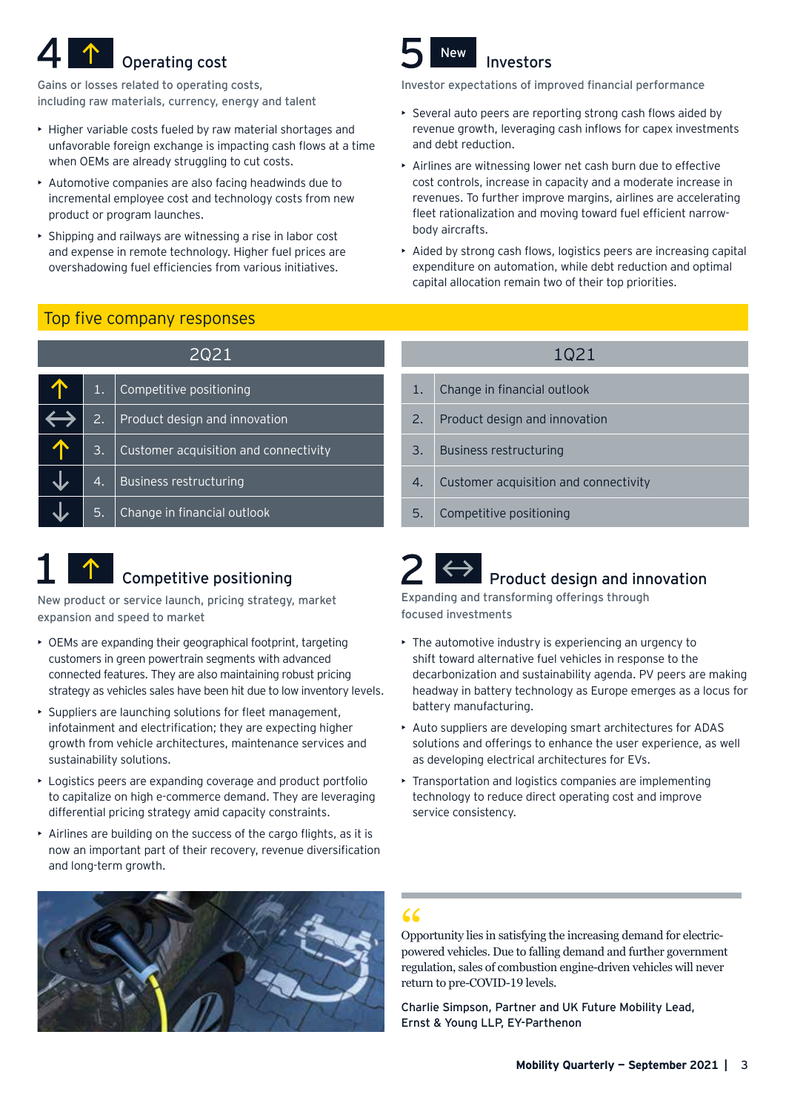# Operating cost **Investors**

Gains or losses related to operating costs, including raw materials, currency, energy and talent

- Higher variable costs fueled by raw material shortages and unfavorable foreign exchange is impacting cash flows at a time when OEMs are already struggling to cut costs.
- Automotive companies are also facing headwinds due to incremental employee cost and technology costs from new product or program launches.
- Shipping and railways are witnessing a rise in labor cost and expense in remote technology. Higher fuel prices are overshadowing fuel efficiencies from various initiatives.

### Top five company responses

| 2Q21 |                  |                                       |  |
|------|------------------|---------------------------------------|--|
|      | 1.               | Competitive positioning               |  |
|      | 2.               | Product design and innovation         |  |
|      | $\overline{3}$ . | Customer acquisition and connectivity |  |
|      | 4.               | <b>Business restructuring</b>         |  |
|      | 5.               | Change in financial outlook           |  |

#### $\uparrow$ Competitive positioning

New product or service launch, pricing strategy, market expansion and speed to market

- OEMs are expanding their geographical footprint, targeting customers in green powertrain segments with advanced connected features. They are also maintaining robust pricing strategy as vehicles sales have been hit due to low inventory levels.
- Suppliers are launching solutions for fleet management, infotainment and electrification; they are expecting higher growth from vehicle architectures, maintenance services and sustainability solutions.
- Logistics peers are expanding coverage and product portfolio to capitalize on high e-commerce demand. They are leveraging differential pricing strategy amid capacity constraints.
- Airlines are building on the success of the cargo flights, as it is now an important part of their recovery, revenue diversification and long-term growth.



#### Investor expectations of improved financial performance

- Several auto peers are reporting strong cash flows aided by revenue growth, leveraging cash inflows for capex investments and debt reduction.
- Airlines are witnessing lower net cash burn due to effective cost controls, increase in capacity and a moderate increase in revenues. To further improve margins, airlines are accelerating fleet rationalization and moving toward fuel efficient narrowbody aircrafts.
- Aided by strong cash flows, logistics peers are increasing capital expenditure on automation, while debt reduction and optimal capital allocation remain two of their top priorities.

## 1. Change in financial outlook 2. Product design and innovation 3. Business restructuring 4. Customer acquisition and connectivity 1Q21

5. Competitive positioning

## Product design and innovation

Expanding and transforming offerings through focused investments

- The automotive industry is experiencing an urgency to shift toward alternative fuel vehicles in response to the decarbonization and sustainability agenda. PV peers are making headway in battery technology as Europe emerges as a locus for battery manufacturing.
- Auto suppliers are developing smart architectures for ADAS solutions and offerings to enhance the user experience, as well as developing electrical architectures for EVs.
- Transportation and logistics companies are implementing technology to reduce direct operating cost and improve service consistency.



Opportunity lies in satisfying the increasing demand for electricpowered vehicles. Due to falling demand and further government regulation, sales of combustion engine-driven vehicles will never return to pre-COVID-19 levels.  $\frac{66}{\text{Opp}}$ 

Charlie Simpson, Partner and UK Future Mobility Lead, Ernst & Young LLP, EY-Parthenon